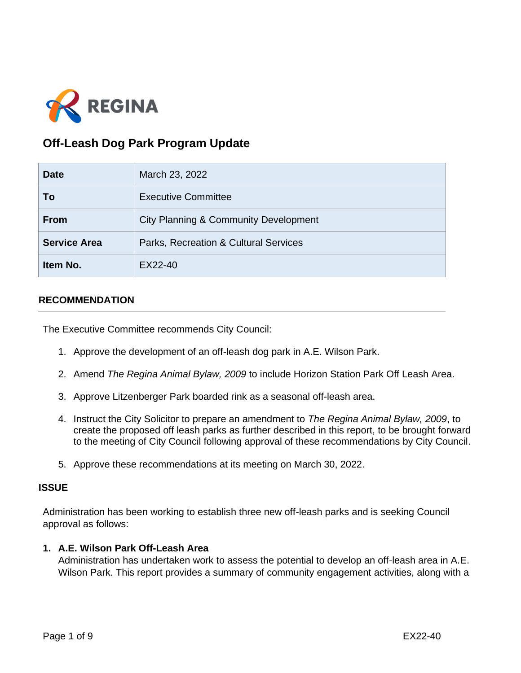

# **Off-Leash Dog Park Program Update**

| <b>Date</b>         | March 23, 2022                                   |
|---------------------|--------------------------------------------------|
| To                  | <b>Executive Committee</b>                       |
| <b>From</b>         | <b>City Planning &amp; Community Development</b> |
| <b>Service Area</b> | Parks, Recreation & Cultural Services            |
| Item No.            | EX22-40                                          |

#### **RECOMMENDATION**

The Executive Committee recommends City Council:

- 1. Approve the development of an off-leash dog park in A.E. Wilson Park.
- 2. Amend *The Regina Animal Bylaw, 2009* to include Horizon Station Park Off Leash Area.
- 3. Approve Litzenberger Park boarded rink as a seasonal off-leash area.
- 4. Instruct the City Solicitor to prepare an amendment to *The Regina Animal Bylaw, 2009*, to create the proposed off leash parks as further described in this report, to be brought forward to the meeting of City Council following approval of these recommendations by City Council.
- 5. Approve these recommendations at its meeting on March 30, 2022.

#### **ISSUE**

Administration has been working to establish three new off-leash parks and is seeking Council approval as follows:

#### **1. A.E. Wilson Park Off-Leash Area**

Administration has undertaken work to assess the potential to develop an off-leash area in A.E. Wilson Park. This report provides a summary of community engagement activities, along with a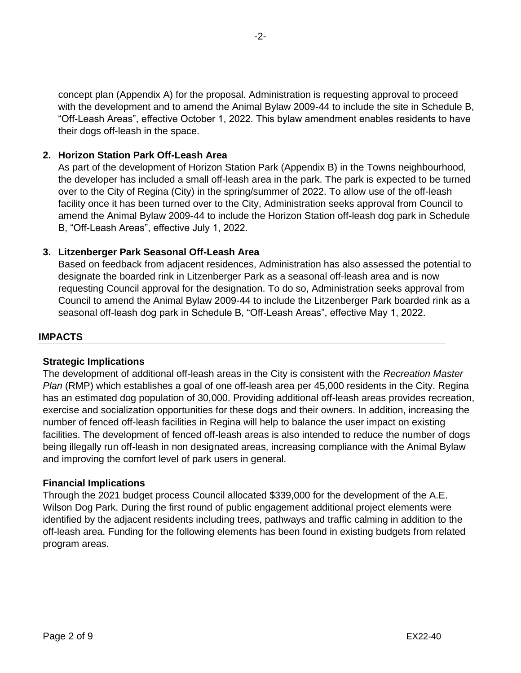concept plan (Appendix A) for the proposal. Administration is requesting approval to proceed with the development and to amend the Animal Bylaw 2009-44 to include the site in Schedule B, "Off-Leash Areas", effective October 1, 2022. This bylaw amendment enables residents to have their dogs off-leash in the space.

# **2. Horizon Station Park Off-Leash Area**

As part of the development of Horizon Station Park (Appendix B) in the Towns neighbourhood, the developer has included a small off-leash area in the park. The park is expected to be turned over to the City of Regina (City) in the spring/summer of 2022. To allow use of the off-leash facility once it has been turned over to the City, Administration seeks approval from Council to amend the Animal Bylaw 2009-44 to include the Horizon Station off-leash dog park in Schedule B, "Off-Leash Areas", effective July 1, 2022.

# **3. Litzenberger Park Seasonal Off-Leash Area**

Based on feedback from adjacent residences, Administration has also assessed the potential to designate the boarded rink in Litzenberger Park as a seasonal off-leash area and is now requesting Council approval for the designation. To do so, Administration seeks approval from Council to amend the Animal Bylaw 2009-44 to include the Litzenberger Park boarded rink as a seasonal off-leash dog park in Schedule B, "Off-Leash Areas", effective May 1, 2022.

# **IMPACTS**

#### **Strategic Implications**

The development of additional off-leash areas in the City is consistent with the *Recreation Master Plan* (RMP) which establishes a goal of one off-leash area per 45,000 residents in the City. Regina has an estimated dog population of 30,000. Providing additional off-leash areas provides recreation, exercise and socialization opportunities for these dogs and their owners. In addition, increasing the number of fenced off-leash facilities in Regina will help to balance the user impact on existing facilities. The development of fenced off-leash areas is also intended to reduce the number of dogs being illegally run off-leash in non designated areas, increasing compliance with the Animal Bylaw and improving the comfort level of park users in general.

#### **Financial Implications**

Through the 2021 budget process Council allocated \$339,000 for the development of the A.E. Wilson Dog Park. During the first round of public engagement additional project elements were identified by the adjacent residents including trees, pathways and traffic calming in addition to the off-leash area. Funding for the following elements has been found in existing budgets from related program areas.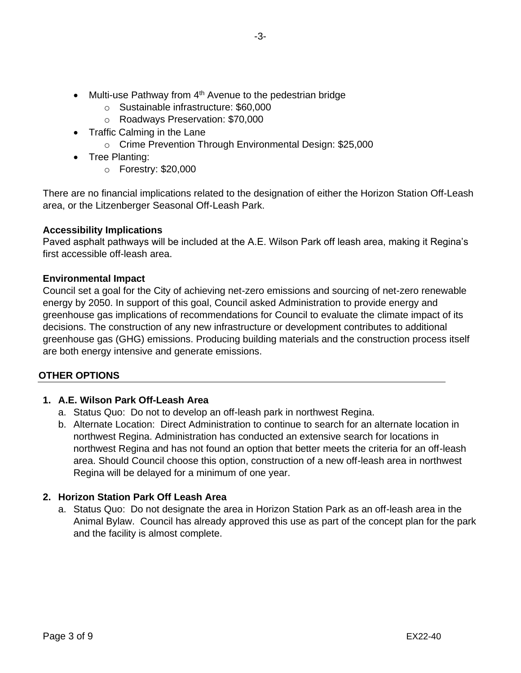- Multi-use Pathway from  $4<sup>th</sup>$  Avenue to the pedestrian bridge
	- o Sustainable infrastructure: \$60,000
	- o Roadways Preservation: \$70,000
- Traffic Calming in the Lane
	- o Crime Prevention Through Environmental Design: \$25,000
- Tree Planting:
	- o Forestry: \$20,000

There are no financial implications related to the designation of either the Horizon Station Off-Leash area, or the Litzenberger Seasonal Off-Leash Park.

# **Accessibility Implications**

Paved asphalt pathways will be included at the A.E. Wilson Park off leash area, making it Regina's first accessible off-leash area.

#### **Environmental Impact**

Council set a goal for the City of achieving net-zero emissions and sourcing of net-zero renewable energy by 2050. In support of this goal, Council asked Administration to provide energy and greenhouse gas implications of recommendations for Council to evaluate the climate impact of its decisions. The construction of any new infrastructure or development contributes to additional greenhouse gas (GHG) emissions. Producing building materials and the construction process itself are both energy intensive and generate emissions.

# **OTHER OPTIONS**

# **1. A.E. Wilson Park Off-Leash Area**

- a. Status Quo: Do not to develop an off-leash park in northwest Regina.
- b. Alternate Location: Direct Administration to continue to search for an alternate location in northwest Regina. Administration has conducted an extensive search for locations in northwest Regina and has not found an option that better meets the criteria for an off-leash area. Should Council choose this option, construction of a new off-leash area in northwest Regina will be delayed for a minimum of one year.

# **2. Horizon Station Park Off Leash Area**

a. Status Quo: Do not designate the area in Horizon Station Park as an off-leash area in the Animal Bylaw. Council has already approved this use as part of the concept plan for the park and the facility is almost complete.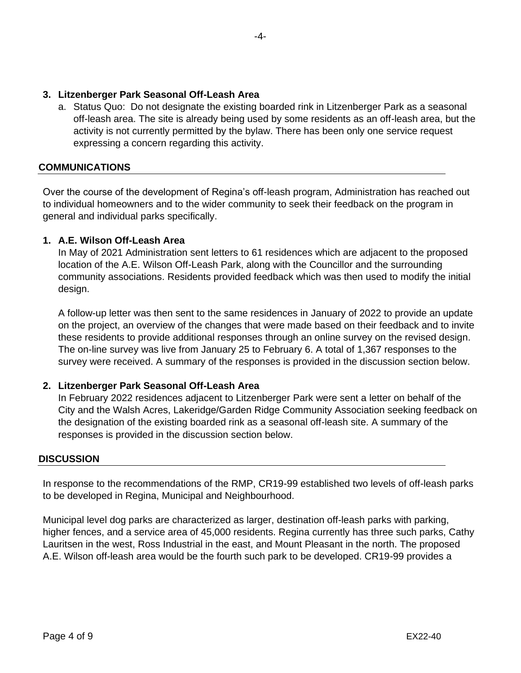# **3. Litzenberger Park Seasonal Off-Leash Area**

a. Status Quo: Do not designate the existing boarded rink in Litzenberger Park as a seasonal off-leash area. The site is already being used by some residents as an off-leash area, but the activity is not currently permitted by the bylaw. There has been only one service request expressing a concern regarding this activity.

#### **COMMUNICATIONS**

Over the course of the development of Regina's off-leash program, Administration has reached out to individual homeowners and to the wider community to seek their feedback on the program in general and individual parks specifically.

#### **1. A.E. Wilson Off-Leash Area**

In May of 2021 Administration sent letters to 61 residences which are adjacent to the proposed location of the A.E. Wilson Off-Leash Park, along with the Councillor and the surrounding community associations. Residents provided feedback which was then used to modify the initial design.

A follow-up letter was then sent to the same residences in January of 2022 to provide an update on the project, an overview of the changes that were made based on their feedback and to invite these residents to provide additional responses through an online survey on the revised design. The on-line survey was live from January 25 to February 6. A total of 1,367 responses to the survey were received. A summary of the responses is provided in the discussion section below.

# **2. Litzenberger Park Seasonal Off-Leash Area**

In February 2022 residences adjacent to Litzenberger Park were sent a letter on behalf of the City and the Walsh Acres, Lakeridge/Garden Ridge Community Association seeking feedback on the designation of the existing boarded rink as a seasonal off-leash site. A summary of the responses is provided in the discussion section below.

#### **DISCUSSION**

In response to the recommendations of the RMP, CR19-99 established two levels of off-leash parks to be developed in Regina, Municipal and Neighbourhood.

Municipal level dog parks are characterized as larger, destination off-leash parks with parking, higher fences, and a service area of 45,000 residents. Regina currently has three such parks, Cathy Lauritsen in the west, Ross Industrial in the east, and Mount Pleasant in the north. The proposed A.E. Wilson off-leash area would be the fourth such park to be developed. CR19-99 provides a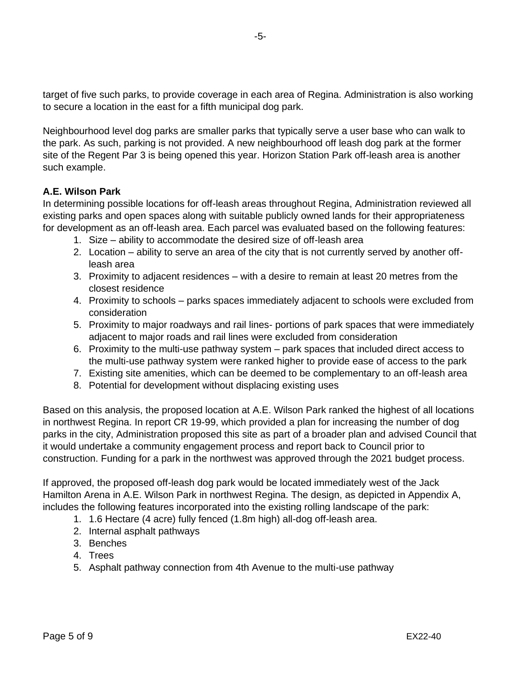target of five such parks, to provide coverage in each area of Regina. Administration is also working to secure a location in the east for a fifth municipal dog park.

Neighbourhood level dog parks are smaller parks that typically serve a user base who can walk to the park. As such, parking is not provided. A new neighbourhood off leash dog park at the former site of the Regent Par 3 is being opened this year. Horizon Station Park off-leash area is another such example.

# **A.E. Wilson Park**

In determining possible locations for off-leash areas throughout Regina, Administration reviewed all existing parks and open spaces along with suitable publicly owned lands for their appropriateness for development as an off-leash area. Each parcel was evaluated based on the following features:

- 1. Size ability to accommodate the desired size of off-leash area
- 2. Location ability to serve an area of the city that is not currently served by another offleash area
- 3. Proximity to adjacent residences with a desire to remain at least 20 metres from the closest residence
- 4. Proximity to schools parks spaces immediately adjacent to schools were excluded from consideration
- 5. Proximity to major roadways and rail lines- portions of park spaces that were immediately adjacent to major roads and rail lines were excluded from consideration
- 6. Proximity to the multi-use pathway system park spaces that included direct access to the multi-use pathway system were ranked higher to provide ease of access to the park
- 7. Existing site amenities, which can be deemed to be complementary to an off-leash area
- 8. Potential for development without displacing existing uses

Based on this analysis, the proposed location at A.E. Wilson Park ranked the highest of all locations in northwest Regina. In report CR 19-99, which provided a plan for increasing the number of dog parks in the city, Administration proposed this site as part of a broader plan and advised Council that it would undertake a community engagement process and report back to Council prior to construction. Funding for a park in the northwest was approved through the 2021 budget process.

If approved, the proposed off-leash dog park would be located immediately west of the Jack Hamilton Arena in A.E. Wilson Park in northwest Regina. The design, as depicted in Appendix A, includes the following features incorporated into the existing rolling landscape of the park:

- 1. 1.6 Hectare (4 acre) fully fenced (1.8m high) all-dog off-leash area.
- 2. Internal asphalt pathways
- 3. Benches
- 4. Trees
- 5. Asphalt pathway connection from 4th Avenue to the multi-use pathway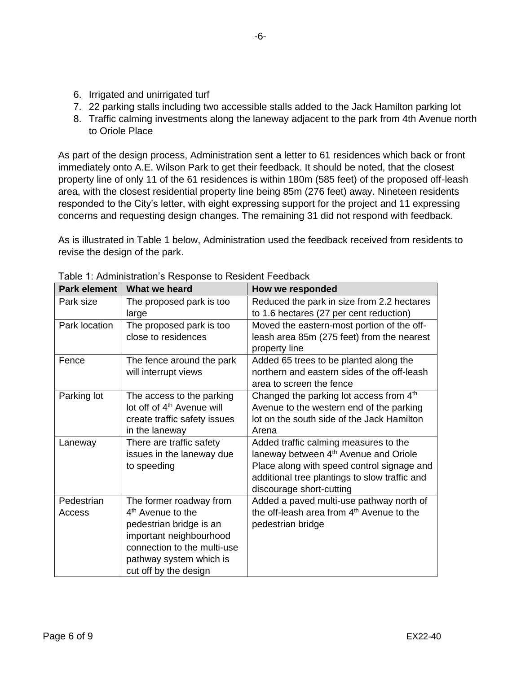- 6. Irrigated and unirrigated turf
- 7. 22 parking stalls including two accessible stalls added to the Jack Hamilton parking lot
- 8. Traffic calming investments along the laneway adjacent to the park from 4th Avenue north to Oriole Place

As part of the design process, Administration sent a letter to 61 residences which back or front immediately onto A.E. Wilson Park to get their feedback. It should be noted, that the closest property line of only 11 of the 61 residences is within 180m (585 feet) of the proposed off-leash area, with the closest residential property line being 85m (276 feet) away. Nineteen residents responded to the City's letter, with eight expressing support for the project and 11 expressing concerns and requesting design changes. The remaining 31 did not respond with feedback.

As is illustrated in Table 1 below, Administration used the feedback received from residents to revise the design of the park.

| What we heard                          | How we responded                                                                                                                     |
|----------------------------------------|--------------------------------------------------------------------------------------------------------------------------------------|
| The proposed park is too               | Reduced the park in size from 2.2 hectares                                                                                           |
|                                        | to 1.6 hectares (27 per cent reduction)                                                                                              |
|                                        | Moved the eastern-most portion of the off-                                                                                           |
|                                        | leash area 85m (275 feet) from the nearest<br>property line                                                                          |
| The fence around the park              | Added 65 trees to be planted along the                                                                                               |
|                                        | northern and eastern sides of the off-leash                                                                                          |
|                                        | area to screen the fence                                                                                                             |
| The access to the parking              | Changed the parking lot access from 4th                                                                                              |
| lot off of 4 <sup>th</sup> Avenue will | Avenue to the western end of the parking                                                                                             |
| create traffic safety issues           | lot on the south side of the Jack Hamilton                                                                                           |
| in the laneway                         | Arena                                                                                                                                |
| There are traffic safety               | Added traffic calming measures to the                                                                                                |
| issues in the laneway due              | laneway between 4 <sup>th</sup> Avenue and Oriole                                                                                    |
| to speeding                            | Place along with speed control signage and                                                                                           |
|                                        | additional tree plantings to slow traffic and                                                                                        |
|                                        | discourage short-cutting                                                                                                             |
| The former roadway from                | Added a paved multi-use pathway north of                                                                                             |
| 4 <sup>th</sup> Avenue to the          | the off-leash area from 4 <sup>th</sup> Avenue to the                                                                                |
| pedestrian bridge is an                | pedestrian bridge                                                                                                                    |
| important neighbourhood                |                                                                                                                                      |
| connection to the multi-use            |                                                                                                                                      |
|                                        |                                                                                                                                      |
|                                        |                                                                                                                                      |
|                                        | large<br>The proposed park is too<br>close to residences<br>will interrupt views<br>pathway system which is<br>cut off by the design |

Table 1: Administration's Response to Resident Feedback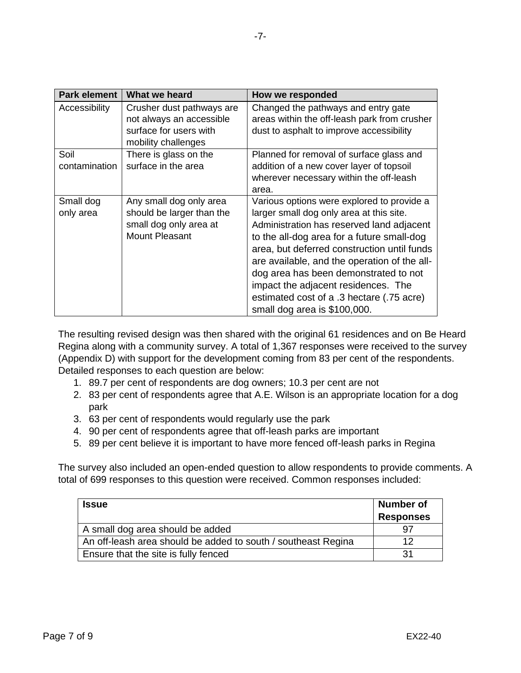| Park element  | What we heard                                         | How we responded                                                                    |
|---------------|-------------------------------------------------------|-------------------------------------------------------------------------------------|
| Accessibility | Crusher dust pathways are<br>not always an accessible | Changed the pathways and entry gate<br>areas within the off-leash park from crusher |
|               | surface for users with                                | dust to asphalt to improve accessibility                                            |
|               | mobility challenges                                   |                                                                                     |
| Soil          | There is glass on the                                 | Planned for removal of surface glass and                                            |
| contamination | surface in the area                                   | addition of a new cover layer of topsoil                                            |
|               |                                                       | wherever necessary within the off-leash                                             |
|               |                                                       | area.                                                                               |
| Small dog     | Any small dog only area                               | Various options were explored to provide a                                          |
| only area     | should be larger than the                             | larger small dog only area at this site.                                            |
|               | small dog only area at                                | Administration has reserved land adjacent                                           |
|               | <b>Mount Pleasant</b>                                 | to the all-dog area for a future small-dog                                          |
|               |                                                       | area, but deferred construction until funds                                         |
|               |                                                       | are available, and the operation of the all-                                        |
|               |                                                       | dog area has been demonstrated to not                                               |
|               |                                                       | impact the adjacent residences. The                                                 |
|               |                                                       | estimated cost of a .3 hectare (.75 acre)                                           |
|               |                                                       | small dog area is \$100,000.                                                        |

The resulting revised design was then shared with the original 61 residences and on Be Heard Regina along with a community survey. A total of 1,367 responses were received to the survey (Appendix D) with support for the development coming from 83 per cent of the respondents. Detailed responses to each question are below:

- 1. 89.7 per cent of respondents are dog owners; 10.3 per cent are not
- 2. 83 per cent of respondents agree that A.E. Wilson is an appropriate location for a dog park
- 3. 63 per cent of respondents would regularly use the park
- 4. 90 per cent of respondents agree that off-leash parks are important
- 5. 89 per cent believe it is important to have more fenced off-leash parks in Regina

The survey also included an open-ended question to allow respondents to provide comments. A total of 699 responses to this question were received. Common responses included:

| <b>Issue</b>                                                  | <b>Number of</b> |
|---------------------------------------------------------------|------------------|
|                                                               | <b>Responses</b> |
| A small dog area should be added                              |                  |
| An off-leash area should be added to south / southeast Regina | 12               |
| Ensure that the site is fully fenced                          | 31               |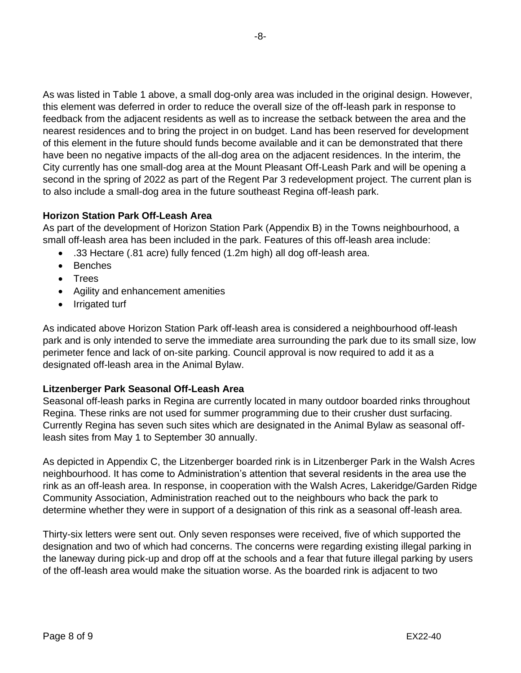As was listed in Table 1 above, a small dog-only area was included in the original design. However, this element was deferred in order to reduce the overall size of the off-leash park in response to feedback from the adjacent residents as well as to increase the setback between the area and the nearest residences and to bring the project in on budget. Land has been reserved for development of this element in the future should funds become available and it can be demonstrated that there have been no negative impacts of the all-dog area on the adjacent residences. In the interim, the City currently has one small-dog area at the Mount Pleasant Off-Leash Park and will be opening a second in the spring of 2022 as part of the Regent Par 3 redevelopment project. The current plan is to also include a small-dog area in the future southeast Regina off-leash park.

# **Horizon Station Park Off-Leash Area**

As part of the development of Horizon Station Park (Appendix B) in the Towns neighbourhood, a small off-leash area has been included in the park. Features of this off-leash area include:

- .33 Hectare (.81 acre) fully fenced (1.2m high) all dog off-leash area.
- Benches
- Trees
- Agility and enhancement amenities
- Irrigated turf

As indicated above Horizon Station Park off-leash area is considered a neighbourhood off-leash park and is only intended to serve the immediate area surrounding the park due to its small size, low perimeter fence and lack of on-site parking. Council approval is now required to add it as a designated off-leash area in the Animal Bylaw.

# **Litzenberger Park Seasonal Off-Leash Area**

Seasonal off-leash parks in Regina are currently located in many outdoor boarded rinks throughout Regina. These rinks are not used for summer programming due to their crusher dust surfacing. Currently Regina has seven such sites which are designated in the Animal Bylaw as seasonal offleash sites from May 1 to September 30 annually.

As depicted in Appendix C, the Litzenberger boarded rink is in Litzenberger Park in the Walsh Acres neighbourhood. It has come to Administration's attention that several residents in the area use the rink as an off-leash area. In response, in cooperation with the Walsh Acres, Lakeridge/Garden Ridge Community Association, Administration reached out to the neighbours who back the park to determine whether they were in support of a designation of this rink as a seasonal off-leash area.

Thirty-six letters were sent out. Only seven responses were received, five of which supported the designation and two of which had concerns. The concerns were regarding existing illegal parking in the laneway during pick-up and drop off at the schools and a fear that future illegal parking by users of the off-leash area would make the situation worse. As the boarded rink is adjacent to two